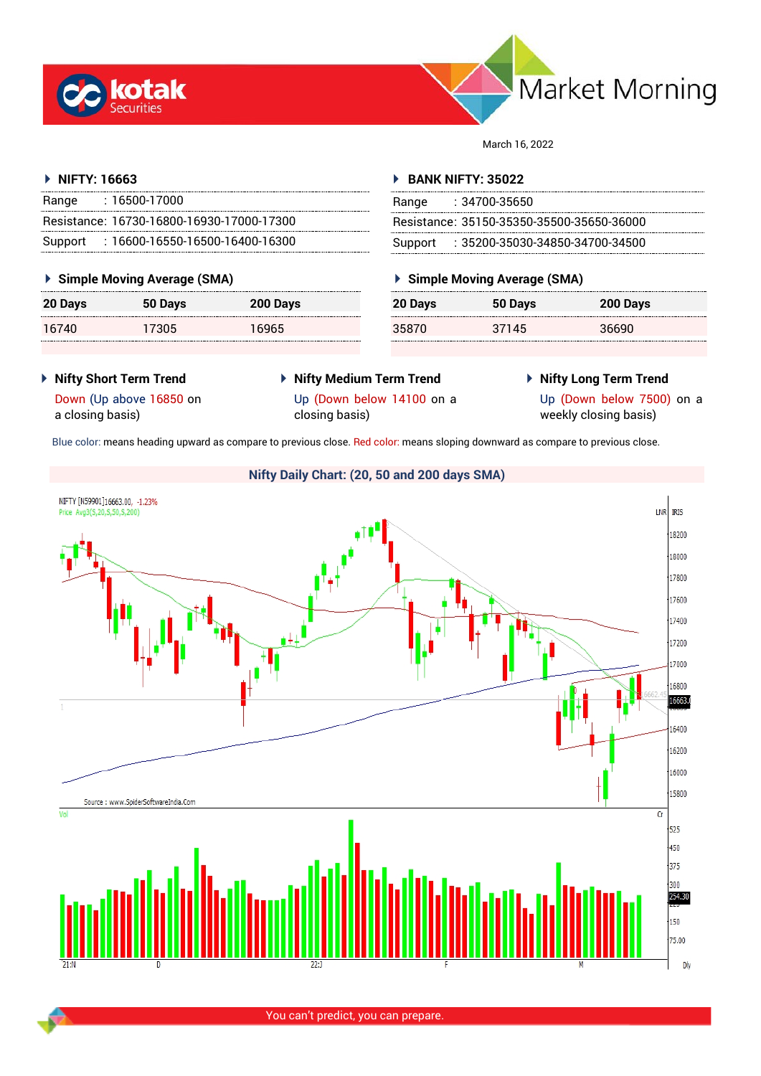



March 16, 2022

## **NIFTY: 16663**

| Range | $: 16500 - 17000$                         |
|-------|-------------------------------------------|
|       | Resistance: 16730-16800-16930-17000-17300 |
|       | Support: 16600-16550-16500-16400-16300    |

## **Simple Moving Average (SMA)**

| 20 Days | 50 Days | 200 Days |
|---------|---------|----------|
| 16740   | 17305   | 16965    |

## **BANK NIFTY: 35022**

| Range | : 34700-35650                             |
|-------|-------------------------------------------|
|       | Resistance: 35150-35350-35500-35650-36000 |
|       | Support: : 35200-35030-34850-34700-34500  |

## **Simple Moving Average (SMA)**

| 20 Days | 50 Days | 200 Days |
|---------|---------|----------|
| 35870   | 37145   | 36690    |

- **Nifty Short Term Trend** Down (Up above 16850 on
- **Nifty Medium Term Trend**
- **Nifty Long Term Trend**

Up (Down below 7500) on a weekly closing basis)

Blue color: means heading upward as compare to previous close. Red color: means sloping downward as compare to previous close.



You can't predict, you can prepare.

## a closing basis)

Up (Down below 14100 on a closing basis)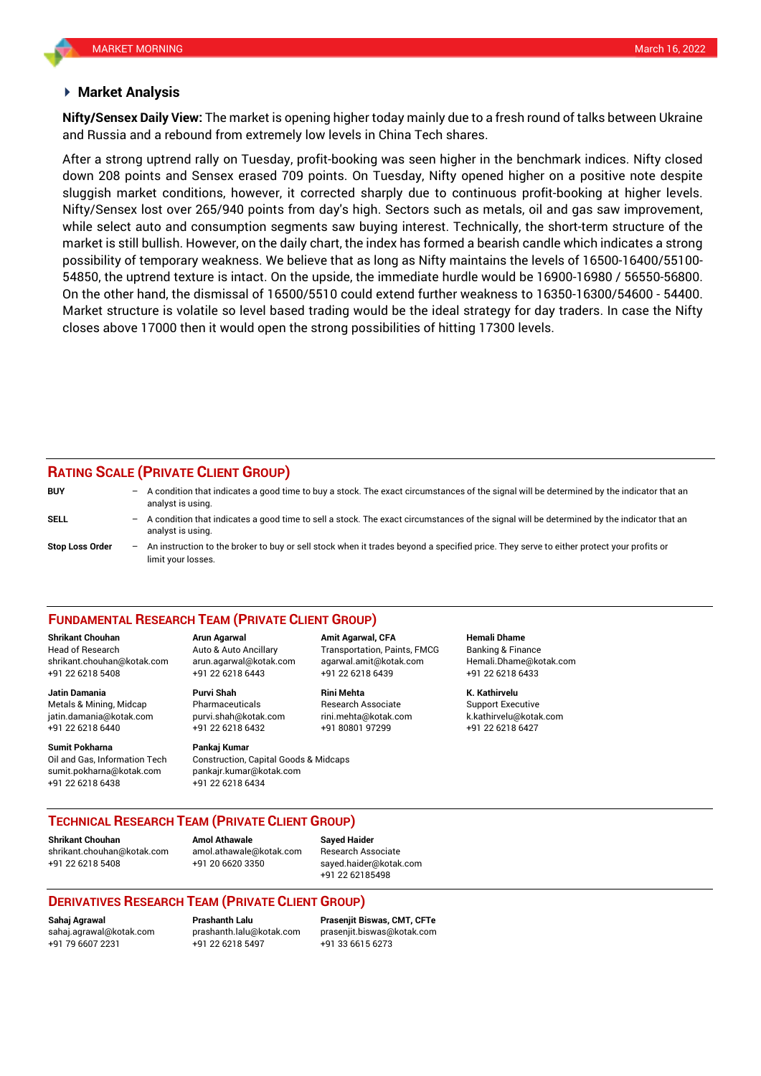#### **Market Analysis**

and Russia and a rebound from extremely low levels in China Tech shares. **Nifty/Sensex Daily View:** The market is opening higher today mainly due to a fresh round of talks between Ukraine

After a strong uptrend rally on Tuesday, profit-booking was seen higher in the benchmark indices. Nifty closed down 208 points and Sensex erased 709 points. On Tuesday, Nifty opened higher on a positive note despite sluggish market conditions, however, it corrected sharply due to continuous profit-booking at higher levels. Nifty/Sensex lost over 265/940 points from day's high. Sectors such as metals, oil and gas saw improvement, while select auto and consumption segments saw buying interest. Technically, the short-term structure of the market is still bullish. However, on the daily chart, the index has formed a bearish candle which indicates a strong possibility of temporary weakness. We believe that as long as Nifty maintains the levels of 16500-16400/55100- 54850, the uptrend texture is intact. On the upside, the immediate hurdle would be 16900-16980 / 56550-56800. On the other hand, the dismissal of 16500/5510 could extend further weakness to 16350-16300/54600 - 54400. Market structure is volatile so level based trading would be the ideal strategy for day traders. In case the Nifty closes above 17000 then it would open the strong possibilities of hitting 17300 levels.

# **RATING SCALE (PRIVATE CLIENT GROUP)**

| <b>BUY</b>             |                          | $-$ A condition that indicates a good time to buy a stock. The exact circumstances of the signal will be determined by the indicator that an<br>analyst is using. |
|------------------------|--------------------------|-------------------------------------------------------------------------------------------------------------------------------------------------------------------|
| SELL                   | $\overline{\phantom{0}}$ | A condition that indicates a good time to sell a stock. The exact circumstances of the signal will be determined by the indicator that an<br>analyst is using.    |
| <b>Stop Loss Order</b> |                          | - An instruction to the broker to buy or sell stock when it trades beyond a specified price. They serve to either protect your profits or<br>limit your losses.   |

#### **FUNDAMENTAL RESEARCH TEAM (PRIVATE CLIENT GROUP)**

[shrikant.chouhan@kotak.com](mailto:shrikant.chouhan@kotak.com) arun.agarwal@kotak.com agarwal.amit@kotak.com Hemali.Dhame@kotak.com

**Jatin Damania Purvi Shah Rini Mehta K. Kathirvelu** Metals & Mining, Midcap Pharmaceuticals Research Associate Support Executive jatin.damania@kotak.com [purvi.shah@kotak.com](mailto:purvi.shah@kotak.com) rini.mehta@kotak.com [k.kathirvelu@kotak.com](mailto:k.kathirvelu@kotak.com) +91 22 6218 6440 +91 22 6218 6432 +91 80801 97299 +91 22 6218 6427

**Sumit Pokharna Pankaj Kumar** Oil and Gas, Information Tech Construction, Capital Goods & Midcaps sumit.pokharna@kotak.com pankajr.kumar@kotak.com

+91 22 6218 5408 +91 22 6218 6443 +91 22 6218 6439 +91 22 6218 6433

+91 22 6218 6438 +91 22 6218 6434

**Shrikant Chouhan Arun Agarwal Amit Agarwal, CFA Hemali Dhame** Head of Research Auto & Auto Ancillary Transportation, Paints, FMCG Banking & Finance

## **TECHNICAL RESEARCH TEAM (PRIVATE CLIENT GROUP)**

**Shrikant Chouhan Amol Athawale Sayed Haider**

[shrikant.chouhan@kotak.com](mailto:shrikant.chouhan@kotak.com) [amol.athawale@kotak.com](mailto:amol.athawale@kotak.com) Research Associate +91 22 6218 5408 +91 20 6620 3350 [sayed.haider@kotak.com](mailto:sayed.haider@kotak.com)

+91 22 62185498

## **DERIVATIVES RESEARCH TEAM (PRIVATE CLIENT GROUP)**

+91 22 6218 5497 +91 33 6615 6273

**Sahaj Agrawal Prashanth Lalu Prasenjit Biswas, CMT, CFTe** [sahaj.agrawal@kotak.com](mailto:sahaj.agrawal@kotak.com) [prashanth.lalu@kotak.com](mailto:prashanth.lalu@kotak.com) [prasenjit.biswas@kotak.com](mailto:prasenjit.biswas@kotak.com)